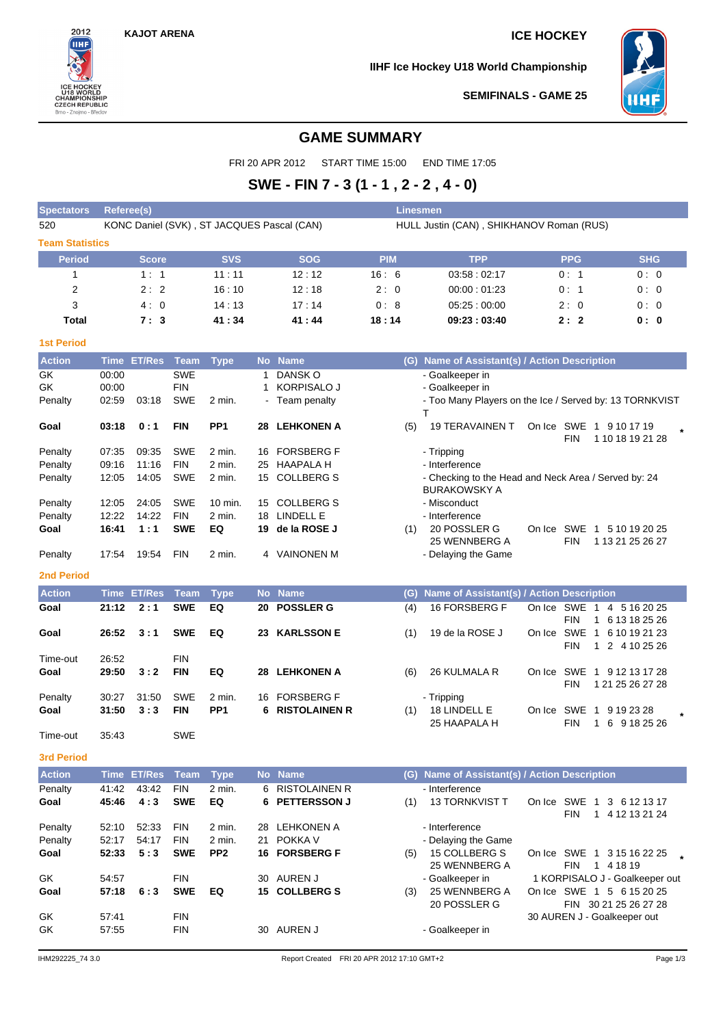$2012$ **IIHF** 

**CHAMPIONSHIP**<br>CHAMPIONSHIP<br>CZECH REPUBLIC<br>Brno - Znojmo - Břeclav

## **KAJOT ARENA ICE HOCKEY**

**IIHF Ice Hockey U18 World Championship**



**SEMIFINALS - GAME 25**

## **GAME SUMMARY**

FRI 20 APR 2012 START TIME 15:00 END TIME 17:05

# **SWE - FIN 7 - 3 (1 - 1 , 2 - 2 , 4 - 0)**

| <b>Spectators</b>      | <b>Referee(s)</b> |                    |             |                 |           |                                            |            | Linesmen                                             |            |                                                                          |
|------------------------|-------------------|--------------------|-------------|-----------------|-----------|--------------------------------------------|------------|------------------------------------------------------|------------|--------------------------------------------------------------------------|
| 520                    |                   |                    |             |                 |           | KONC Daniel (SVK), ST JACQUES Pascal (CAN) |            | HULL Justin (CAN), SHIKHANOV Roman (RUS)             |            |                                                                          |
| <b>Team Statistics</b> |                   |                    |             |                 |           |                                            |            |                                                      |            |                                                                          |
| <b>Period</b>          |                   | <b>Score</b>       |             | <b>SVS</b>      |           | <b>SOG</b>                                 | <b>PIM</b> | <b>TPP</b>                                           | <b>PPG</b> | <b>SHG</b>                                                               |
| 1                      |                   | 1:1                |             | 11:11           |           | 12:12                                      | 16:6       | 03:58:02:17                                          | 0:1        | 0:0                                                                      |
| 2                      |                   | 2:2                |             | 16:10           |           | 12:18                                      | 2:0        | 00:00:01:23                                          | 0:1        | 0:0                                                                      |
| 3                      |                   | 4:0                |             | 14:13           |           | 17:14                                      | 0:8        | 05:25:00:00                                          | 2:0        | 0:0                                                                      |
| Total                  |                   | 7:3                |             | 41:34           |           | 41:44                                      | 18:14      | 09:23:03:40                                          | 2:2        | 0: 0                                                                     |
| <b>1st Period</b>      |                   |                    |             |                 |           |                                            |            |                                                      |            |                                                                          |
| <b>Action</b>          |                   | Time ET/Res        | Team        | <b>Type</b>     |           | No Name                                    | (G)        | Name of Assistant(s) / Action Description            |            |                                                                          |
| GK                     | 00:00             |                    | <b>SWE</b>  |                 | 1         | DANSK O                                    |            | - Goalkeeper in                                      |            |                                                                          |
| GK                     | 00:00             |                    | <b>FIN</b>  |                 | 1         | <b>KORPISALO J</b>                         |            | - Goalkeeper in                                      |            |                                                                          |
| Penalty                | 02:59             | 03:18              | <b>SWE</b>  | 2 min.          |           | - Team penalty                             |            | т                                                    |            | - Too Many Players on the Ice / Served by: 13 TORNKVIST                  |
| Goal                   | 03:18             | 0:1                | <b>FIN</b>  | PP <sub>1</sub> | 28.       | <b>LEHKONEN A</b>                          | (5)        | <b>19 TERAVAINEN T</b>                               |            | On Ice SWE 1 9 10 17 19<br>$\star$<br><b>FIN</b><br>1 10 18 19 21 28     |
| Penalty                | 07:35             | 09:35              | <b>SWE</b>  | 2 min.          | 16        | <b>FORSBERG F</b>                          |            | - Tripping                                           |            |                                                                          |
| Penalty                | 09:16             | 11:16              | <b>FIN</b>  | 2 min.          | 25        | HAAPALA H                                  |            | - Interference                                       |            |                                                                          |
| Penalty                | 12:05             | 14:05              | SWE         | 2 min.          | 15        | <b>COLLBERG S</b>                          |            | - Checking to the Head and Neck Area / Served by: 24 |            |                                                                          |
| Penalty                | 12:05             | 24:05              | <b>SWE</b>  | 10 min.         | 15        | <b>COLLBERG S</b>                          |            | <b>BURAKOWSKY A</b><br>- Misconduct                  |            |                                                                          |
| Penalty                | 12:22             | 14:22              | <b>FIN</b>  | 2 min.          | 18        | LINDELL E                                  |            | - Interference                                       |            |                                                                          |
| Goal                   | 16:41             | 1:1                | <b>SWE</b>  | EQ              | 19        | de la ROSE J                               | (1)        | 20 POSSLER G                                         |            | On Ice SWE 1 5 10 19 20 25                                               |
| Penalty                | 17:54             | 19:54              | <b>FIN</b>  | 2 min.          |           | 4 VAINONEN M                               |            | 25 WENNBERG A<br>- Delaying the Game                 |            | <b>FIN</b><br>1 13 21 25 26 27                                           |
|                        |                   |                    |             |                 |           |                                            |            |                                                      |            |                                                                          |
| <b>2nd Period</b>      |                   |                    |             |                 |           |                                            |            |                                                      |            |                                                                          |
| <b>Action</b>          |                   | <b>Time ET/Res</b> | <b>Team</b> | <b>Type</b>     | <b>No</b> | <b>Name</b>                                | (G)        | Name of Assistant(s) / Action Description            |            |                                                                          |
| Goal                   | 21:12             | 2:1                | <b>SWE</b>  | EQ              | 20        | <b>POSSLER G</b>                           | (4)        | 16 FORSBERG F                                        |            | On Ice SWE 1 4 5 16 20 25<br><b>FIN</b><br>6 13 18 25 26<br>$\mathbf{1}$ |
| Goal                   | 26:52             | 3:1                | <b>SWE</b>  | EQ              |           | 23 KARLSSON E                              | (1)        | 19 de la ROSE J                                      | On Ice SWE | $\overline{1}$<br>6 10 19 21 23                                          |
|                        |                   |                    |             |                 |           |                                            |            |                                                      |            | <b>FIN</b><br>1 2 4 10 25 26                                             |
| Time-out               | 26:52             |                    | <b>FIN</b>  |                 |           |                                            |            |                                                      |            |                                                                          |
| Goal                   | 29:50             | 3:2                | <b>FIN</b>  | EQ              |           | 28 LEHKONEN A                              | (6)        | 26 KULMALA R                                         |            | On Ice SWE 1 9 12 13 17 28<br><b>FIN</b><br>1 21 25 26 27 28             |
| Penalty                | 30:27             | 31:50              | <b>SWE</b>  | $2$ min.        | 16        | <b>FORSBERG F</b>                          |            | - Tripping                                           |            |                                                                          |
| Goal                   | 31:50             | 3:3                | <b>FIN</b>  | PP <sub>1</sub> | 6         | <b>RISTOLAINEN R</b>                       | (1)        | 18 LINDELL E                                         | On Ice     | SWE<br>$\overline{1}$<br>9 19 23 28                                      |
| Time-out               | 35:43             |                    | <b>SWE</b>  |                 |           |                                            |            | 25 HAAPALA H                                         |            | 6 9 18 25 26<br><b>FIN</b><br>1                                          |
| <b>3rd Period</b>      |                   |                    |             |                 |           |                                            |            |                                                      |            |                                                                          |
| <b>Action</b>          |                   | Time ET/Res        | <b>Team</b> | <b>Type</b>     |           | No Name                                    |            | (G) Name of Assistant(s) / Action Description        |            |                                                                          |
| Penalty                | 41:42             | 43:42              | <b>FIN</b>  | 2 min.          |           | 6 RISTOLAINEN R                            |            | - Interference                                       |            |                                                                          |
| Goal                   | 45:46             | 4:3                | <b>SWE</b>  | EQ              | 6.        | <b>PETTERSSON J</b>                        | (1)        | 13 TORNKVIST T                                       |            | On Ice SWE 1 3 6 12 13 17                                                |
| Penalty                | 52:10             | 52:33              | <b>FIN</b>  | 2 min.          |           | 28 LEHKONEN A                              |            | - Interference                                       |            | FIN<br>1 4 12 13 21 24                                                   |
| Penalty                | 52:17             | 54:17              | <b>FIN</b>  | 2 min.          |           | 21 POKKA V                                 |            | - Delaying the Game                                  |            |                                                                          |
| Goal                   | 52:33             | 5:3                | <b>SWE</b>  | PP <sub>2</sub> |           | 16 FORSBERG F                              | (5)        | 15 COLLBERG S                                        |            | On Ice SWE 1 3 15 16 22 25                                               |
|                        |                   |                    |             |                 |           |                                            |            | 25 WENNBERG A                                        |            | 1 4 18 19<br>FIN                                                         |
| GK                     | 54:57             |                    | <b>FIN</b>  |                 |           | 30 AUREN J                                 |            | - Goalkeeper in                                      |            | 1 KORPISALO J - Goalkeeper out                                           |
| Goal                   | 57:18             | 6:3                | <b>SWE</b>  | EQ              |           | 15 COLLBERG S                              | (3)        | 25 WENNBERG A                                        |            | On Ice SWE 1 5 6 15 20 25                                                |
| GK                     | 57:41             |                    | FIN         |                 |           |                                            |            | 20 POSSLER G                                         |            | FIN 30 21 25 26 27 28<br>30 AUREN J - Goalkeeper out                     |
| GK                     | 57:55             |                    | FIN         |                 |           | 30 AUREN J                                 |            | - Goalkeeper in                                      |            |                                                                          |
|                        |                   |                    |             |                 |           |                                            |            |                                                      |            |                                                                          |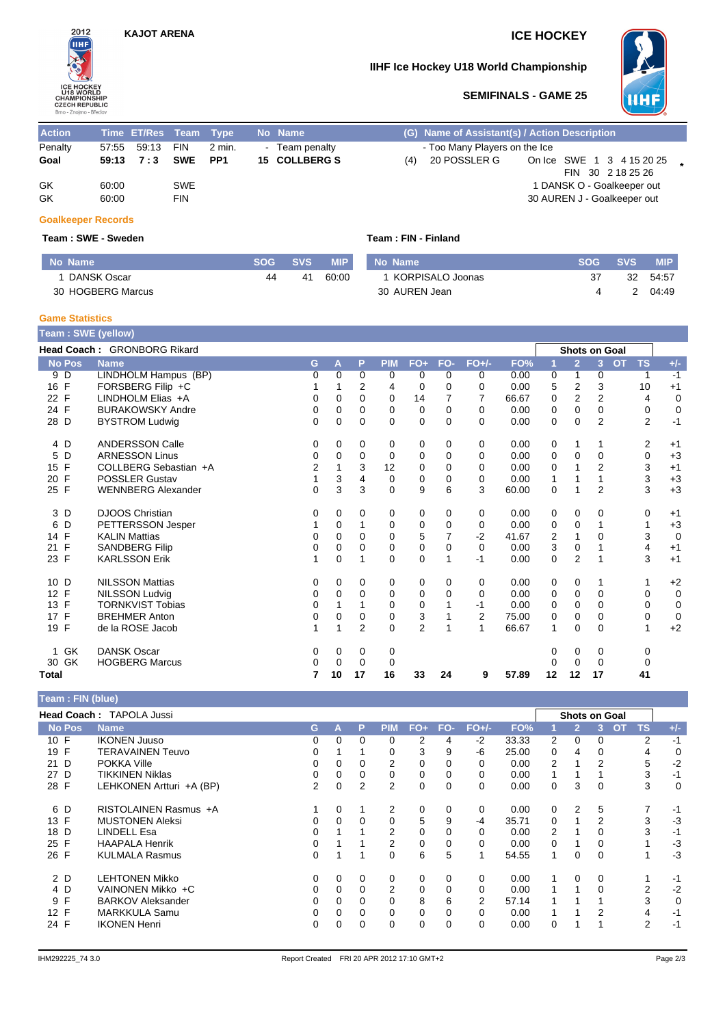

### **IIHF Ice Hockey U18 World Championship**



### **SEMIFINALS - GAME 25**

| <b>Action</b> |       | Time ET/Res Team Type |            |        |                | No Name       |     | (G) Name of Assistant(s) / Action Description |  |                             |  |
|---------------|-------|-----------------------|------------|--------|----------------|---------------|-----|-----------------------------------------------|--|-----------------------------|--|
| Penalty       |       | 57:55    59:13    FIN |            | 2 min. | $\blacksquare$ | Team penalty  |     | - Too Many Players on the Ice                 |  |                             |  |
| Goal          |       | 59:13 7:3 SWE         |            | PP1    |                | 15 COLLBERG S | (4) | 20 POSSLER G                                  |  | On Ice SWE 1 3 4 15 20 25   |  |
|               |       |                       |            |        |                |               |     |                                               |  | FIN 30 2 18 25 26           |  |
| GK            | 60:00 |                       | <b>SWE</b> |        |                |               |     |                                               |  | 1 DANSK O - Goalkeeper out  |  |
| GK            | 60:00 |                       | <b>FIN</b> |        |                |               |     |                                               |  | 30 AUREN J - Goalkeeper out |  |
|               |       |                       |            |        |                |               |     |                                               |  |                             |  |

#### **Goalkeeper Records**

#### **Team : SWE - Sweden Team : FIN - Finland**

| Mo Name           | <b>SOG</b> | <b>SVS</b> | <b>MIP</b> | No Name            | SOG. | <b>SVS</b> | <b>MIP</b> |
|-------------------|------------|------------|------------|--------------------|------|------------|------------|
| DANSK Oscar       | 44         | 41         | 60:00      | 1 KORPISALO Joonas | 37   | 32         | 54.57      |
| 30 HOGBERG Marcus |            |            |            | 30 AUREN Jean      |      |            | 04:49      |

#### **Game Statistics**

| <b>Team: SWE (yellow)</b> |                             |          |             |                |             |                |             |                |       |             |                |                |           |              |                |
|---------------------------|-----------------------------|----------|-------------|----------------|-------------|----------------|-------------|----------------|-------|-------------|----------------|----------------|-----------|--------------|----------------|
|                           | Head Coach: GRONBORG Rikard |          |             |                |             |                |             |                |       |             | Shots on Goal  |                |           |              |                |
| <b>No Pos</b>             | <b>Name</b>                 | G        | A           | P              | <b>PIM</b>  | $FO+$          | FO-         | $FO+/-$        | FO%   | 1           | $\overline{2}$ | $\overline{3}$ | <b>OT</b> | <b>TS</b>    | $+/-$          |
| 9<br>D                    | LINDHOLM Hampus (BP)        | 0        | $\Omega$    | $\Omega$       | 0           | 0              | 0           | 0              | 0.00  | 0           | 1              | 0              |           | 1            | $-1$           |
| 16<br>F                   | FORSBERG Filip +C           |          |             | 2              | 4           | 0              | 0           | 0              | 0.00  | 5           | 2              | 3              |           | 10           | $+1$           |
| 22 F                      | LINDHOLM Elias +A           | 0        | 0           | $\Omega$       | $\Omega$    | 14             | 7           | 7              | 66.67 | $\Omega$    | 2              | $\overline{2}$ |           | 4            | $\mathbf 0$    |
| 24 F                      | <b>BURAKOWSKY Andre</b>     | 0        | 0           | 0              | 0           | 0              | $\Omega$    | 0              | 0.00  | 0           | $\Omega$       | $\Omega$       |           | 0            | $\mathbf 0$    |
| 28 D                      | <b>BYSTROM Ludwig</b>       | 0        | $\mathbf 0$ | $\mathbf 0$    | 0           | $\mathbf 0$    | $\mathbf 0$ | $\Omega$       | 0.00  | 0           | $\mathbf 0$    | $\overline{2}$ |           | 2            | $-1$           |
| 4 D                       | <b>ANDERSSON Calle</b>      | 0        | 0           | 0              | 0           | 0              | 0           | 0              | 0.00  | 0           | 1              | 1              |           | 2            | $+1$           |
| 5<br>D                    | <b>ARNESSON Linus</b>       | 0        | 0           | 0              | 0           | 0              | $\Omega$    | 0              | 0.00  | 0           | 0              | $\Omega$       |           | 0            | $+3$           |
| F<br>15                   | COLLBERG Sebastian +A       | 2        | 1           | 3              | 12          | 0              | $\Omega$    | 0              | 0.00  | 0           |                | $\overline{2}$ |           | 3            | $+1$           |
| F<br>20                   | <b>POSSLER Gustav</b>       | 1        | 3           | 4              | 0           | 0              | 0           | 0              | 0.00  | 1           |                | $\mathbf{1}$   |           | 3            | $+3$           |
| 25 F                      | <b>WENNBERG Alexander</b>   | $\Omega$ | 3           | 3              | $\Omega$    | 9              | 6           | 3              | 60.00 | $\mathbf 0$ | 1              | $\overline{2}$ |           | 3            | $+3$           |
| 3 D                       | <b>DJOOS Christian</b>      | 0        | 0           | 0              | 0           | 0              | 0           | 0              | 0.00  | 0           | 0              | 0              |           | 0            | $+1$           |
| 6<br>D                    | PETTERSSON Jesper           | 1        | $\Omega$    | 1              | 0           | 0              | $\Omega$    | 0              | 0.00  | 0           | 0              |                |           | $\mathbf{1}$ | $+3$           |
| F<br>14                   | <b>KALIN Mattias</b>        | 0        | $\Omega$    | 0              | 0           | 5              | 7           | $-2$           | 41.67 | 2           | 1              | $\Omega$       |           | 3            | $\mathbf 0$    |
| F<br>21                   | <b>SANDBERG Filip</b>       | 0        | 0           | 0              | 0           | 0              | 0           | $\Omega$       | 0.00  | 3           | 0              |                |           | 4            | $+1$           |
| 23 F                      | <b>KARLSSON Erik</b>        | 1        | $\mathbf 0$ |                | 0           | $\mathbf 0$    |             | $-1$           | 0.00  | 0           | $\overline{2}$ |                |           | 3            | $+1$           |
| 10 D                      | <b>NILSSON Mattias</b>      | 0        | 0           | 0              | 0           | 0              | 0           | 0              | 0.00  | 0           | 0              | 1              |           | 1            | $+2$           |
| 12 F                      | <b>NILSSON Ludvig</b>       | 0        | $\Omega$    | $\Omega$       | $\Omega$    | 0              | $\Omega$    | 0              | 0.00  | 0           | $\Omega$       | $\Omega$       |           | 0            | $\mathbf 0$    |
| F<br>13                   | <b>TORNKVIST Tobias</b>     | 0        |             |                | $\Omega$    | 0              |             | $-1$           | 0.00  | 0           | $\Omega$       | $\Omega$       |           | 0            | $\mathbf 0$    |
| $\mathsf{F}$<br>17        | <b>BREHMER Anton</b>        | 0        | 0           | 0              | 0           | 3              |             | $\overline{2}$ | 75.00 | 0           | 0              | $\Omega$       |           | 0            | $\overline{0}$ |
| 19 F                      | de la ROSE Jacob            | 1        | 1           | $\overline{2}$ | $\mathbf 0$ | $\overline{2}$ | 1           | 1              | 66.67 | 1           | $\mathbf 0$    | 0              |           | 1            | $+2$           |
| GK<br>1.                  | <b>DANSK Oscar</b>          | 0        | 0           | 0              | 0           |                |             |                |       | 0           | 0              | 0              |           | 0            |                |
| 30 GK                     | <b>HOGBERG Marcus</b>       | 0        | 0           | 0              | 0           |                |             |                |       | 0           | $\Omega$       | 0              |           | 0            |                |
| <b>Total</b>              |                             | 7        | 10          | 17             | 16          | 33             | 24          | 9              | 57.89 | 12          | 12             | 17             |           | 41           |                |

| Team: FIN (blue) |                          |    |          |   |                |             |          |          |       |          |                |                      |                |       |
|------------------|--------------------------|----|----------|---|----------------|-------------|----------|----------|-------|----------|----------------|----------------------|----------------|-------|
|                  | Head Coach: TAPOLA Jussi |    |          |   |                |             |          |          |       |          |                | <b>Shots on Goal</b> |                |       |
| No Pos           | <b>Name</b>              | G. | А        | P | <b>PIM</b>     | $FO+$       | FO-      | $FO+/-$  | FO%   |          | $\overline{2}$ | <b>OT</b><br>3       | <b>TS</b>      | $+/-$ |
| 10 F             | <b>IKONEN Juuso</b>      | 0  | 0        | 0 | 0              | 2           | 4        | -2       | 33.33 | 2        | 0              | 0                    | 2              | $-1$  |
| 19 F             | TERAVAINEN Teuvo         |    |          |   | 0              | 3           | 9        | -6       | 25.00 | $\Omega$ | 4              | 0                    | 4              | 0     |
| D<br>21          | <b>POKKA Ville</b>       | 0  | 0        | 0 | 2              | 0           |          | 0        | 0.00  | 2        |                | 2                    | 5              | $-2$  |
| 27 D             | <b>TIKKINEN Niklas</b>   | 0  | $\Omega$ | 0 | 0              | 0           | $\Omega$ | 0        | 0.00  |          |                |                      | 3              | $-1$  |
| 28 F             | LEHKONEN Artturi +A (BP) | 2  | 0        | 2 | 2              | 0           | 0        | 0        | 0.00  | 0        | 3              | 0                    | 3              | 0     |
| 6 D              | RISTOLAINEN Rasmus +A    |    | 0        |   | 2              | 0           | 0        | 0        | 0.00  | 0        | 2              | 5                    | 7              | $-1$  |
| 13 F             | <b>MUSTONEN Aleksi</b>   | 0  | $\Omega$ | 0 | $\Omega$       | 5           | 9        | -4       | 35.71 | $\Omega$ |                | 2                    | 3              | $-3$  |
| 18 D             | LINDELL Esa              |    |          |   | 2              | 0           |          | 0        | 0.00  | 2        |                |                      | 3              | $-1$  |
| 25 F             | <b>HAAPALA Henrik</b>    | 0  |          |   | $\overline{2}$ | 0           | $\Omega$ | 0        | 0.00  | $\Omega$ |                | 0                    |                | $-3$  |
| 26 F             | <b>KULMALA Rasmus</b>    | 0  |          |   | $\Omega$       | 6           | 5        |          | 54.55 | 1        | 0              | $\Omega$             |                | $-3$  |
| 2 D              | <b>LEHTONEN Mikko</b>    | 0  | $\Omega$ | 0 | 0              | 0           | $\Omega$ | $\Omega$ | 0.00  |          | 0              | $\Omega$             |                | $-1$  |
| 4 D              | VAINONEN Mikko +C        | 0  | 0        | 0 | 2              | 0           | 0        | 0        | 0.00  |          |                | 0                    | $\overline{2}$ | $-2$  |
| 9 F              | <b>BARKOV Aleksander</b> |    | $\Omega$ | 0 | $\Omega$       | 8           | 6        | 2        | 57.14 |          |                |                      | 3              | 0     |
| 12 F             | <b>MARKKULA Samu</b>     | 0  | 0        | 0 | 0              | 0           |          | 0        | 0.00  |          |                | 2                    | 4              | $-1$  |
| 24 F             | <b>IKONEN Henri</b>      | 0  | $\Omega$ | 0 | $\Omega$       | $\mathbf 0$ | 0        | 0        | 0.00  | 0        |                |                      | $\overline{2}$ | $-1$  |